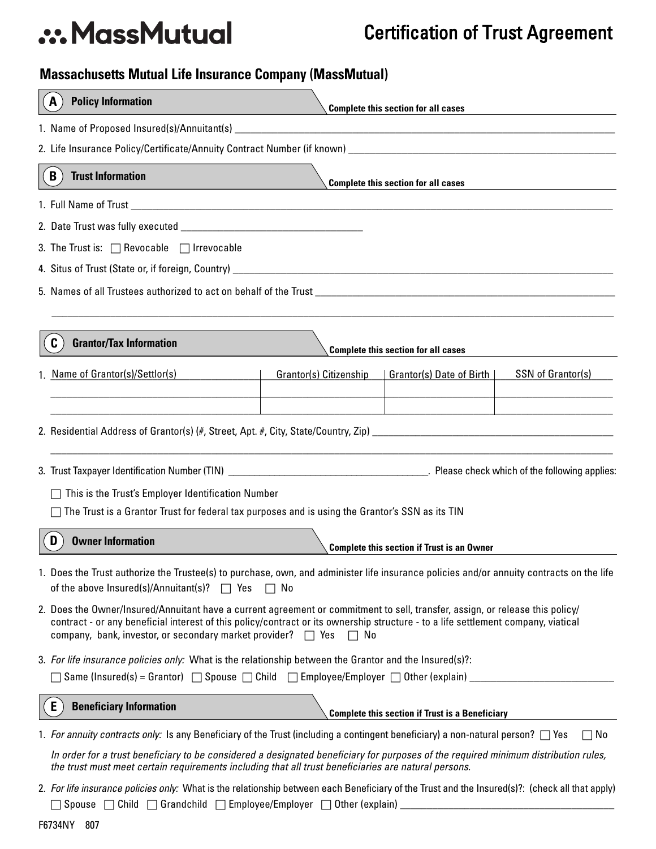# .:. MassMutual

# Certification of Trust Agreement

## **Massachusetts Mutual Life Insurance Company (MassMutual)**

| <b>Policy Information</b>                                                                                                                                                                                                                                                                                                                            |                        | <b>Complete this section for all cases</b>             |                   |  |  |  |
|------------------------------------------------------------------------------------------------------------------------------------------------------------------------------------------------------------------------------------------------------------------------------------------------------------------------------------------------------|------------------------|--------------------------------------------------------|-------------------|--|--|--|
|                                                                                                                                                                                                                                                                                                                                                      |                        |                                                        |                   |  |  |  |
|                                                                                                                                                                                                                                                                                                                                                      |                        |                                                        |                   |  |  |  |
| $\left( \mathbf{B}\right)$<br><b>Trust Information</b>                                                                                                                                                                                                                                                                                               |                        | <b>Complete this section for all cases</b>             |                   |  |  |  |
|                                                                                                                                                                                                                                                                                                                                                      |                        |                                                        |                   |  |  |  |
|                                                                                                                                                                                                                                                                                                                                                      |                        |                                                        |                   |  |  |  |
| 3. The Trust is: □ Revocable □ Irrevocable                                                                                                                                                                                                                                                                                                           |                        |                                                        |                   |  |  |  |
|                                                                                                                                                                                                                                                                                                                                                      |                        |                                                        |                   |  |  |  |
|                                                                                                                                                                                                                                                                                                                                                      |                        |                                                        |                   |  |  |  |
|                                                                                                                                                                                                                                                                                                                                                      |                        |                                                        |                   |  |  |  |
| C<br><b>Grantor/Tax Information</b>                                                                                                                                                                                                                                                                                                                  |                        | <b>Complete this section for all cases</b>             |                   |  |  |  |
| 1. Name of Grantor(s)/Settlor(s)                                                                                                                                                                                                                                                                                                                     | Grantor(s) Citizenship | Grantor(s) Date of Birth                               | SSN of Grantor(s) |  |  |  |
|                                                                                                                                                                                                                                                                                                                                                      |                        |                                                        |                   |  |  |  |
|                                                                                                                                                                                                                                                                                                                                                      |                        |                                                        |                   |  |  |  |
| This is the Trust's Employer Identification Number                                                                                                                                                                                                                                                                                                   |                        |                                                        |                   |  |  |  |
| $\Box$ The Trust is a Grantor Trust for federal tax purposes and is using the Grantor's SSN as its TIN                                                                                                                                                                                                                                               |                        |                                                        |                   |  |  |  |
| <b>Owner Information</b><br>D<br><b>Complete this section if Trust is an Owner</b>                                                                                                                                                                                                                                                                   |                        |                                                        |                   |  |  |  |
| 1. Does the Trust authorize the Trustee(s) to purchase, own, and administer life insurance policies and/or annuity contracts on the life<br>of the above Insured(s)/Annuitant(s)? $\Box$ Yes<br>$\Box$ No                                                                                                                                            |                        |                                                        |                   |  |  |  |
| 2. Does the Owner/Insured/Annuitant have a current agreement or commitment to sell, transfer, assign, or release this policy/<br>contract - or any beneficial interest of this policy/contract or its ownership structure - to a life settlement company, viatical<br>company, bank, investor, or secondary market provider? $\Box$ Yes<br>$\Box$ No |                        |                                                        |                   |  |  |  |
| 3. For life insurance policies only: What is the relationship between the Grantor and the Insured(s)?:<br>$\Box$ Same (Insured(s) = Grantor) $\Box$ Spouse $\Box$ Child $\Box$ Employee/Employer $\Box$ Other (explain)                                                                                                                              |                        |                                                        |                   |  |  |  |
| E<br><b>Beneficiary Information</b>                                                                                                                                                                                                                                                                                                                  |                        | <b>Complete this section if Trust is a Beneficiary</b> |                   |  |  |  |
| 1. For annuity contracts only: Is any Beneficiary of the Trust (including a contingent beneficiary) a non-natural person? T Yes<br>$\Box$ No                                                                                                                                                                                                         |                        |                                                        |                   |  |  |  |
| In order for a trust beneficiary to be considered a designated beneficiary for purposes of the required minimum distribution rules,<br>the trust must meet certain requirements including that all trust beneficiaries are natural persons.                                                                                                          |                        |                                                        |                   |  |  |  |
| 2. For life insurance policies only: What is the relationship between each Beneficiary of the Trust and the Insured(s)?: (check all that apply)<br>$\Box$ Spouse $\Box$ Child $\Box$ Grandchild $\Box$ Employee/Employer $\Box$ Other (explain) $\Box$                                                                                               |                        |                                                        |                   |  |  |  |

F6734NY 807